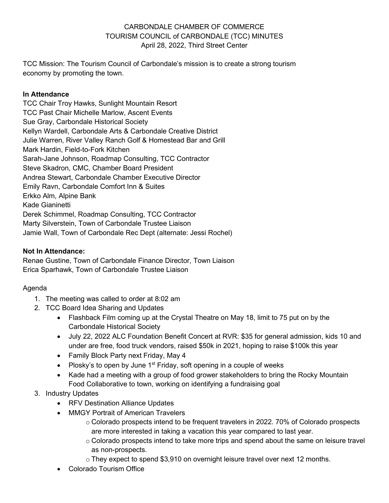### CARBONDALE CHAMBER OF COMMERCE TOURISM COUNCIL of CARBONDALE (TCC) MINUTES April 28, 2022, Third Street Center

TCC Mission: The Tourism Council of Carbondale's mission is to create a strong tourism economy by promoting the town.

#### **In Attendance**

TCC Chair Troy Hawks, Sunlight Mountain Resort TCC Past Chair Michelle Marlow, Ascent Events Sue Gray, Carbondale Historical Society Kellyn Wardell, Carbondale Arts & Carbondale Creative District Julie Warren, River Valley Ranch Golf & Homestead Bar and Grill Mark Hardin, Field-to-Fork Kitchen Sarah-Jane Johnson, Roadmap Consulting, TCC Contractor Steve Skadron, CMC, Chamber Board President Andrea Stewart, Carbondale Chamber Executive Director Emily Ravn, Carbondale Comfort Inn & Suites Erkko Alm, Alpine Bank Kade Gianinetti Derek Schimmel, Roadmap Consulting, TCC Contractor Marty Silverstein, Town of Carbondale Trustee Liaison Jamie Wall, Town of Carbondale Rec Dept (alternate: Jessi Rochel)

### **Not In Attendance:**

Renae Gustine, Town of Carbondale Finance Director, Town Liaison Erica Sparhawk, Town of Carbondale Trustee Liaison

# Agenda

- 1. The meeting was called to order at 8:02 am
- 2. TCC Board Idea Sharing and Updates
	- Flashback Film coming up at the Crystal Theatre on May 18, limit to 75 put on by the Carbondale Historical Society
	- July 22, 2022 ALC Foundation Benefit Concert at RVR: \$35 for general admission, kids 10 and under are free, food truck vendors, raised \$50k in 2021, hoping to raise \$100k this year
	- Family Block Party next Friday, May 4
	- Plosky's to open by June  $1<sup>st</sup>$  Friday, soft opening in a couple of weeks
	- Kade had a meeting with a group of food grower stakeholders to bring the Rocky Mountain Food Collaborative to town, working on identifying a fundraising goal

# 3. Industry Updates

- RFV Destination Alliance Updates
- MMGY Portrait of American Travelers
	- o Colorado prospects intend to be frequent travelers in 2022. 70% of Colorado prospects are more interested in taking a vacation this year compared to last year.
	- $\circ$  Colorado prospects intend to take more trips and spend about the same on leisure travel as non-prospects.
	- $\circ$  They expect to spend \$3,910 on overnight leisure travel over next 12 months.
- Colorado Tourism Office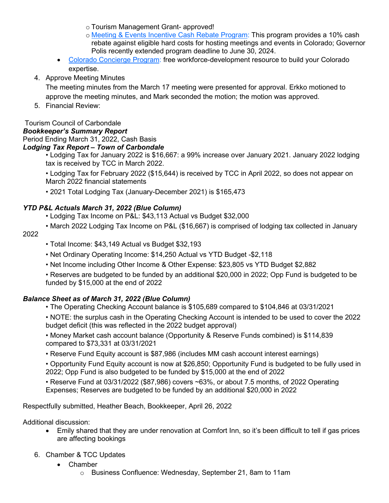o Tourism Management Grant- approved!

- o [Meeting & Events Incentive Cash Rebate Program:](https://oedit.colorado.gov/meeting-and-events-incentive-cash-rebate?utm_campaign=Colorado%20Tourism%20Office&utm_medium=email&_hsmi=211189032&_hsenc=p2ANqtz--HsCoChNssZgmjjiVx9z7No-u3yG_Zy9i7vBLP91MgnvCwGZ6UmaS_hn9V61aNq_cYnRyL156VvEbbgt4v3gHF5ZALxw&utm_content=211189032&utm_source=hs_email) This program provides a 10% cash rebate against eligible hard costs for hosting meetings and events in Colorado; Governor Polis recently extended program deadline to June 30, 2024.
- [Colorado Concierge Program:](https://ch1dq04.na1.hubspotlinks.com/Ctc/GD+113/cH1dQ04/VX9Dd181dJSPW7BCDFL3hBvyhW8VsNl14JlVjnMwF3Tf3q905V1-WJV7CgJg9W7GP2Mm38szYlW7P4k4j52qncbW6tjxkJ1Lyr4VW49xvW05v66gGW56c-GQ1ZyM6WW3g2xN07Pr0R6W2YMb5c4TYXdjW8JBDLC952GMVW4vGhjF3d-8PLW41Chqt8hZjVDV2qk3S5MycB6W8SCWww4dHYWXW5_KxyB3QJJsYW99MjsM6v4wjmN99QHN9PlC2CW8Q3lKd76k7CbW3L4HLv3blCwLW7mc5YX7K2wnJW1ClGyQ7-TjT7W8RVJYP28y-l6N58fJ0GFXMS3W38Q8XW2h4SW_N8jzq2C3QmmBW6hN7Fs13KTdK3mq71) free workforce-development resource to build your Colorado expertise.
- 4. Approve Meeting Minutes

The meeting minutes from the March 17 meeting were presented for approval. Erkko motioned to approve the meeting minutes, and Mark seconded the motion; the motion was approved.

5. Financial Review:

#### Tourism Council of Carbondale

#### *Bookkeeper's Summary Report*

Period Ending March 31, 2022, Cash Basis

#### *Lodging Tax Report – Town of Carbondale*

• Lodging Tax for January 2022 is \$16,667: a 99% increase over January 2021. January 2022 lodging tax is received by TCC in March 2022.

• Lodging Tax for February 2022 (\$15,644) is received by TCC in April 2022, so does not appear on March 2022 financial statements

• 2021 Total Lodging Tax (January-December 2021) is \$165,473

### *YTD P&L Actuals March 31, 2022 (Blue Column)*

- Lodging Tax Income on P&L: \$43,113 Actual vs Budget \$32,000
- March 2022 Lodging Tax Income on P&L (\$16,667) is comprised of lodging tax collected in January

#### 2022

- Total Income: \$43,149 Actual vs Budget \$32,193
- Net Ordinary Operating Income: \$14,250 Actual vs YTD Budget -\$2,118
- Net Income including Other Income & Other Expense: \$23,805 vs YTD Budget \$2,882

• Reserves are budgeted to be funded by an additional \$20,000 in 2022; Opp Fund is budgeted to be funded by \$15,000 at the end of 2022

# *Balance Sheet as of March 31, 2022 (Blue Column)*

- The Operating Checking Account balance is \$105,689 compared to \$104,846 at 03/31/2021
- NOTE: the surplus cash in the Operating Checking Account is intended to be used to cover the 2022 budget deficit (this was reflected in the 2022 budget approval)

• Money Market cash account balance (Opportunity & Reserve Funds combined) is \$114,839 compared to \$73,331 at 03/31/2021

• Reserve Fund Equity account is \$87,986 (includes MM cash account interest earnings)

• Opportunity Fund Equity account is now at \$26,850; Opportunity Fund is budgeted to be fully used in 2022; Opp Fund is also budgeted to be funded by \$15,000 at the end of 2022

• Reserve Fund at 03/31/2022 (\$87,986) covers ~63%, or about 7.5 months, of 2022 Operating Expenses; Reserves are budgeted to be funded by an additional \$20,000 in 2022

Respectfully submitted, Heather Beach, Bookkeeper, April 26, 2022

Additional discussion:

- Emily shared that they are under renovation at Comfort Inn, so it's been difficult to tell if gas prices are affecting bookings
- 6. Chamber & TCC Updates
	- Chamber
		- o Business Confluence: Wednesday, September 21, 8am to 11am